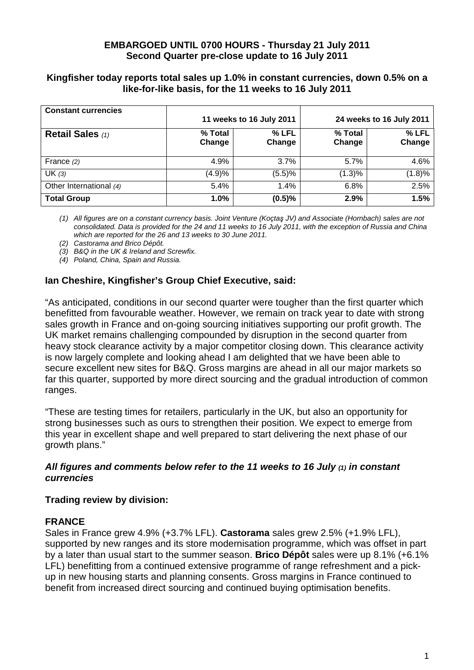## **EMBARGOED UNTIL 0700 HOURS - Thursday 21 July 2011 Second Quarter pre-close update to 16 July 2011**

## **Kingfisher today reports total sales up 1.0% in constant currencies, down 0.5% on a like-for-like basis, for the 11 weeks to 16 July 2011**

| <b>Constant currencies</b> |                          |        |                          |        |
|----------------------------|--------------------------|--------|--------------------------|--------|
|                            | 11 weeks to 16 July 2011 |        | 24 weeks to 16 July 2011 |        |
| Retail Sales (1)           | % Total                  | % LFL  | % Total                  | % LFL  |
|                            | Change                   | Change | Change                   | Change |
|                            |                          |        |                          |        |
| France $(2)$               | 4.9%                     | 3.7%   | $5.7\%$                  | 4.6%   |
| UK(3)                      | (4.9)%                   | (5.5)% | (1.3)%                   | (1.8)% |
| Other International (4)    | 5.4%                     | 1.4%   | 6.8%                     | 2.5%   |
| <b>Total Group</b>         | $1.0\%$                  | (0.5)% | 2.9%                     | 1.5%   |

(1) All figures are on a constant currency basis. Joint Venture (Koçtaş JV) and Associate (Hornbach) sales are not consolidated. Data is provided for the 24 and 11 weeks to 16 July 2011, with the exception of Russia and China which are reported for the 26 and 13 weeks to 30 June 2011.

(2) Castorama and Brico Dépôt.

(3) B&Q in the UK & Ireland and Screwfix.

(4) Poland, China, Spain and Russia.

# **Ian Cheshire, Kingfisher's Group Chief Executive, said:**

"As anticipated, conditions in our second quarter were tougher than the first quarter which benefitted from favourable weather. However, we remain on track year to date with strong sales growth in France and on-going sourcing initiatives supporting our profit growth. The UK market remains challenging compounded by disruption in the second quarter from heavy stock clearance activity by a major competitor closing down. This clearance activity is now largely complete and looking ahead I am delighted that we have been able to secure excellent new sites for B&Q. Gross margins are ahead in all our major markets so far this quarter, supported by more direct sourcing and the gradual introduction of common ranges.

"These are testing times for retailers, particularly in the UK, but also an opportunity for strong businesses such as ours to strengthen their position. We expect to emerge from this year in excellent shape and well prepared to start delivering the next phase of our growth plans."

## **All figures and comments below refer to the 11 weeks to 16 July (1) in constant currencies**

### **Trading review by division:**

### **FRANCE**

Sales in France grew 4.9% (+3.7% LFL). **Castorama** sales grew 2.5% (+1.9% LFL), supported by new ranges and its store modernisation programme, which was offset in part by a later than usual start to the summer season. **Brico Dépôt** sales were up 8.1% (+6.1% LFL) benefitting from a continued extensive programme of range refreshment and a pickup in new housing starts and planning consents. Gross margins in France continued to benefit from increased direct sourcing and continued buying optimisation benefits.